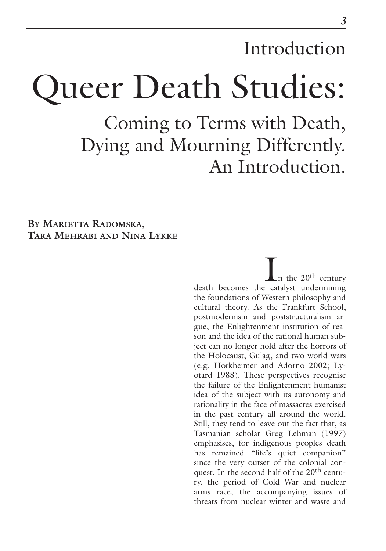# Introduction

# Queer Death Studies:

Coming to Terms with Death, Dying and Mourning Differently. An Introduction.

**BY MARIETTA RADOMSKA, TARA MEHRABI AND NINA LYKKE**

> .n the  $20^{\rm th}$  century death becomes the catalyst undermining the foundations of Western philosophy and cultural theory. As the Frankfurt School, postmodernism and poststructuralism argue, the Enlightenment institution of reason and the idea of the rational human subject can no longer hold after the horrors of the Holocaust, Gulag, and two world wars (e.g. Horkheimer and Adorno 2002; Lyotard 1988). These perspectives recognise the failure of the Enlightenment humanist idea of the subject with its autonomy and rationality in the face of massacres exercised in the past century all around the world. Still, they tend to leave out the fact that, as Tasmanian scholar Greg Lehman (1997) emphasises, for indigenous peoples death has remained "life's quiet companion" since the very outset of the colonial conquest. In the second half of the 20<sup>th</sup> century, the period of Cold War and nuclear arms race, the accompanying issues of threats from nuclear winter and waste and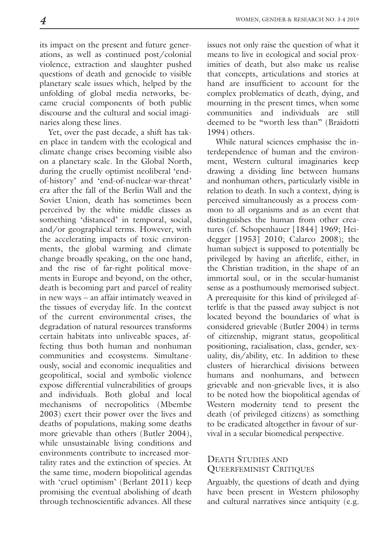its impact on the present and future generations, as well as continued post/colonial violence, extraction and slaughter pushed questions of death and genocide to visible planetary scale issues which, helped by the unfolding of global media networks, became crucial components of both public discourse and the cultural and social imaginaries along these lines.

Yet, over the past decade, a shift has taken place in tandem with the ecological and climate change crises becoming visible also on a planetary scale. In the Global North, during the cruelly optimist neoliberal 'endof-history' and 'end-of-nuclear-war-threat' era after the fall of the Berlin Wall and the Soviet Union, death has sometimes been perceived by the white middle classes as something 'distanced' in temporal, social, and/or geographical terms. However, with the accelerating impacts of toxic environments, the global warming and climate change broadly speaking, on the one hand, and the rise of far-right political movements in Europe and beyond, on the other, death is becoming part and parcel of reality in new ways – an affair intimately weaved in the tissues of everyday life. In the context of the current environmental crises, the degradation of natural resources transforms certain habitats into unliveable spaces, affecting thus both human and nonhuman communities and ecosystems. Simultaneously, social and economic inequalities and geopolitical, social and symbolic violence expose differential vulnerabilities of groups and individuals. Both global and local mechanisms of necropolitics (Mbembe 2003) exert their power over the lives and deaths of populations, making some deaths more grievable than others (Butler 2004), while unsustainable living conditions and environments contribute to increased mortality rates and the extinction of species. At the same time, modern biopolitical agendas with 'cruel optimism' (Berlant 2011) keep promising the eventual abolishing of death through technoscientific advances. All these issues not only raise the question of what it means to live in ecological and social proximities of death, but also make us realise that concepts, articulations and stories at hand are insufficient to account for the complex problematics of death, dying, and mourning in the present times, when some communities and individuals are still deemed to be "worth less than" (Braidotti 1994) others.

While natural sciences emphasise the interdependence of human and the environment, Western cultural imaginaries keep drawing a dividing line between humans and nonhuman others, particularly visible in relation to death. In such a context, dying is perceived simultaneously as a process common to all organisms and as an event that distinguishes the human from other creatures (cf. Schopenhauer [1844] 1969; Heidegger [1953] 2010; Calarco 2008); the human subject is supposed to potentially be privileged by having an afterlife, either, in the Christian tradition, in the shape of an immortal soul, or in the secular-humanist sense as a posthumously memorised subject. A prerequisite for this kind of privileged afterlife is that the passed away subject is not located beyond the boundaries of what is considered grievable (Butler 2004) in terms of citizenship, migrant status, geopolitical positioning, racialisation, class, gender, sexuality, dis/ability, etc. In addition to these clusters of hierarchical divisions between humans and nonhumans, and between grievable and non-grievable lives, it is also to be noted how the biopolitical agendas of Western modernity tend to present the death (of privileged citizens) as something to be eradicated altogether in favour of survival in a secular biomedical perspective.

# DEATH STUDIES AND QUEERFEMINIST CRITIQUES

Arguably, the questions of death and dying have been present in Western philosophy and cultural narratives since antiquity (e.g.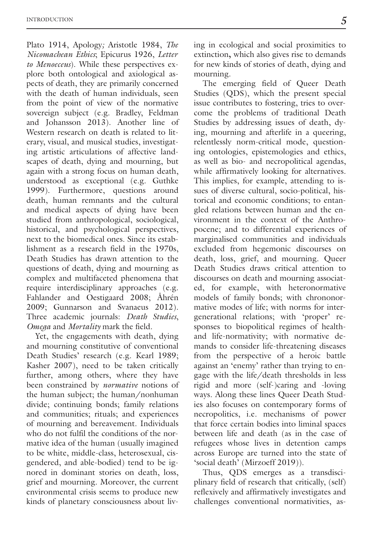Plato 1914, Apology*;* Aristotle 1984, *The Nicomachean Ethics*; Epicurus 1926, *Letter to Menoeceus*). While these perspectives explore both ontological and axiological aspects of death, they are primarily concerned with the death of human individuals, seen from the point of view of the normative sovereign subject (e.g. Bradley, Feldman and Johansson 2013). Another line of Western research on death is related to literary, visual, and musical studies, investigating artistic articulations of affective landscapes of death, dying and mourning, but again with a strong focus on human death, understood as exceptional (e.g. Guthke 1999). Furthermore, questions around death, human remnants and the cultural and medical aspects of dying have been studied from anthropological, sociological, historical, and psychological perspectives, next to the biomedical ones. Since its establishment as a research field in the 1970s, Death Studies has drawn attention to the questions of death, dying and mourning as complex and multifaceted phenomena that require interdisciplinary approaches (e.g. Fahlander and Oestigaard 2008; Åhrén 2009; Gunnarson and Svanaeus 2012). Three academic journals: *Death Studies*, *Omega* and *Mortality* mark the field.

Yet, the engagements with death, dying and mourning constitutive of conventional Death Studies' research (e.g. Kearl 1989; Kasher 2007), need to be taken critically further, among others, where they have been constrained by *normative* notions of the human subject; the human/nonhuman divide; continuing bonds; family relations and communities; rituals; and experiences of mourning and bereavement. Individuals who do not fulfil the conditions of the normative idea of the human (usually imagined to be white, middle-class, heterosexual, cisgendered, and able-bodied) tend to be ignored in dominant stories on death, loss, grief and mourning. Moreover, the current environmental crisis seems to produce new kinds of planetary consciousness about living in ecological and social proximities to extinction**,** which also gives rise to demands for new kinds of stories of death, dying and mourning.

The emerging field of Queer Death Studies (QDS), which the present special issue contributes to fostering, tries to overcome the problems of traditional Death Studies by addressing issues of death, dying, mourning and afterlife in a queering, relentlessly norm-critical mode, questioning ontologies, epistemologies and ethics, as well as bio- and necropolitical agendas, while affirmatively looking for alternatives. This implies, for example, attending to issues of diverse cultural, socio-political, historical and economic conditions; to entangled relations between human and the environment in the context of the Anthropocene; and to differential experiences of marginalised communities and individuals excluded from hegemonic discourses on death, loss, grief, and mourning. Queer Death Studies draws critical attention to discourses on death and mourning associated, for example, with heteronormative models of family bonds; with chrononormative modes of life; with norms for intergenerational relations; with 'proper' responses to biopolitical regimes of healthand life-normativity; with normative demands to consider life-threatening diseases from the perspective of a heroic battle against an 'enemy' rather than trying to engage with the life/death thresholds in less rigid and more (self-)caring and -loving ways. Along these lines Queer Death Studies also focuses on contemporary forms of necropolitics, i.e. mechanisms of power that force certain bodies into liminal spaces between life and death (as in the case of refugees whose lives in detention camps across Europe are turned into the state of 'social death' (Mirzoeff 2019)).

Thus, QDS emerges as a transdisciplinary field of research that critically, (self) reflexively and affirmatively investigates and challenges conventional normativities, as-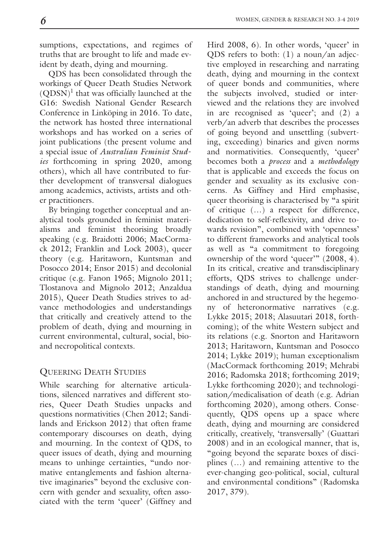QDS has been consolidated through the workings of Queer Death Studies Network (QDSN) <sup>1</sup> that was officially launched at the G16: Swedish National Gender Research Conference in Linköping in 2016. To date, the network has hosted three international workshops and has worked on a series of joint publications (the present volume and a special issue of *Australian Feminist Studies* forthcoming in spring 2020, among others), which all have contributed to further development of transversal dialogues among academics, activists, artists and other practitioners.

By bringing together conceptual and analytical tools grounded in feminist materialisms and feminist theorising broadly speaking (e.g. Braidotti 2006; MacCormack 2012; Franklin and Lock 2003), queer theory (e.g. Haritaworn, Kuntsman and Posocco 2014; Ensor 2015) and decolonial critique (e.g. Fanon 1965; Mignolo 2011; Tlostanova and Mignolo 2012; Anzaldua 2015), Queer Death Studies strives to advance methodologies and understandings that critically and creatively attend to the problem of death, dying and mourning in current environmental, cultural, social, bioand necropolitical contexts.

# QUEERING DEATH STUDIES

While searching for alternative articulations, silenced narratives and different stories, Queer Death Studies unpacks and questions normativities (Chen 2012; Sandilands and Erickson 2012) that often frame contemporary discourses on death, dying and mourning. In the context of QDS, to queer issues of death, dying and mourning means to unhinge certainties, "undo normative entanglements and fashion alternative imaginaries" beyond the exclusive concern with gender and sexuality, often associated with the term 'queer' (Giffney and

QDS refers to both: (1) a noun/an adjective employed in researching and narrating death, dying and mourning in the context of queer bonds and communities, where the subjects involved, studied or interviewed and the relations they are involved in are recognised as 'queer'; and (2) a verb/an adverb that describes the processes of going beyond and unsettling (subverting, exceeding) binaries and given norms and normativities. Consequently, 'queer' becomes both a *process* and a *methodology* that is applicable and exceeds the focus on gender and sexuality as its exclusive concerns. As Giffney and Hird emphasise, queer theorising is characterised by "a spirit of critique (…) a respect for difference, dedication to self-reflexivity, and drive towards revision", combined with 'openness' to different frameworks and analytical tools as well as "a commitment to foregoing ownership of the word 'queer'" (2008, 4). In its critical, creative and transdisciplinary efforts, QDS strives to challenge understandings of death, dying and mourning anchored in and structured by the hegemony of heteronormative narratives (e.g. Lykke 2015; 2018; Alasuutari 2018, forthcoming); of the white Western subject and its relations (e.g. Snorton and Haritaworn 2013; Haritaworn, Kuntsman and Posocco 2014; Lykke 2019); human exceptionalism (MacCormack forthcoming 2019; Mehrabi 2016; Radomska 2018; forthcoming 2019; Lykke forthcoming 2020); and technologisation/medicalisation of death (e.g. Adrian forthcoming 2020), among others. Consequently, QDS opens up a space where death, dying and mourning are considered critically, creatively, 'transversally' (Guattari 2008) and in an ecological manner, that is, "going beyond the separate boxes of disciplines (…) and remaining attentive to the ever-changing geo-political, social, cultural and environmental conditions" (Radomska 2017, 379).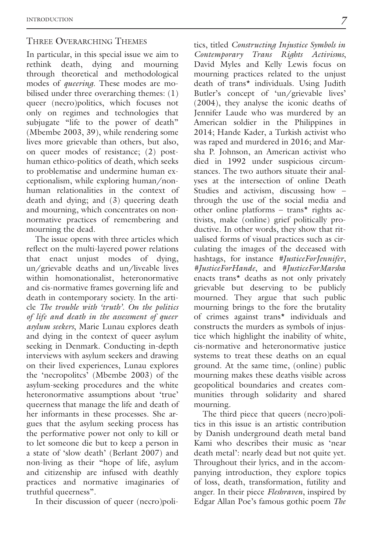# THREE OVERARCHING THEMES

In particular, in this special issue we aim to rethink death, dying and mourning through theoretical and methodological modes of *queering*. These modes are mobilised under three overarching themes: (1) queer (necro)politics, which focuses not only on regimes and technologies that subjugate "life to the power of death" (Mbembe 2003, 39), while rendering some lives more grievable than others, but also, on queer modes of resistance; (2) posthuman ethico-politics of death, which seeks to problematise and undermine human exceptionalism, while exploring human/nonhuman relationalities in the context of death and dying; and (3) queering death and mourning, which concentrates on nonnormative practices of remembering and mourning the dead.

The issue opens with three articles which reflect on the multi-layered power relations that enact unjust modes of dying, un/grievable deaths and un/liveable lives within homonationalist, heteronormative and cis-normative frames governing life and death in contemporary society. In the article *The trouble with 'truth'. On the politics of life and death in the assessment of queer asylum seekers*, Marie Lunau explores death and dying in the context of queer asylum seeking in Denmark. Conducting in-depth interviews with asylum seekers and drawing on their lived experiences, Lunau explores the 'necropolitcs' (Mbembe 2003) of the asylum-seeking procedures and the white heteronormative assumptions about 'true' queerness that manage the life and death of her informants in these processes. She argues that the asylum seeking process has the performative power not only to kill or to let someone die but to keep a person in a state of 'slow death' (Berlant 2007) and non-living as their "hope of life, asylum and citizenship are infused with deathly practices and normative imaginaries of truthful queerness".

In their discussion of queer (necro)poli-

tics, titled *Constructing Injustice Symbols in Contemporary Trans Rights Activisms*, David Myles and Kelly Lewis focus on mourning practices related to the unjust death of trans\* individuals. Using Judith Butler's concept of 'un/grievable lives' (2004), they analyse the iconic deaths of Jennifer Laude who was murdered by an American soldier in the Philippines in 2014; Hande Kader, a Turkish activist who was raped and murdered in 2016; and Marsha P. Johnson, an American activist who died in 1992 under suspicious circumstances. The two authors situate their analyses at the intersection of online Death Studies and activism, discussing how – through the use of the social media and other online platforms – trans\* rights activists, make (online) grief politically productive. In other words, they show that ritualised forms of visual practices such as circulating the images of the deceased with hashtags, for instance *#JusticeForJennifer*, *#JusticeForHande*, and *#JusticeForMarsha* enacts trans\* deaths as not only privately grievable but deserving to be publicly mourned. They argue that such public mourning brings to the fore the brutality of crimes against trans\* individuals and constructs the murders as symbols of injustice which highlight the inability of white, cis-normative and heteronormative justice systems to treat these deaths on an equal ground. At the same time, (online) public mourning makes these deaths visible across geopolitical boundaries and creates communities through solidarity and shared mourning.

The third piece that queers (necro)politics in this issue is an artistic contribution by Danish underground death metal band Kami who describes their music as 'near death metal': nearly dead but not quite yet. Throughout their lyrics, and in the accompanying introduction, they explore topics of loss, death, transformation, futility and anger. In their piece *Fleshraven*, inspired by Edgar Allan Poe's famous gothic poem *The*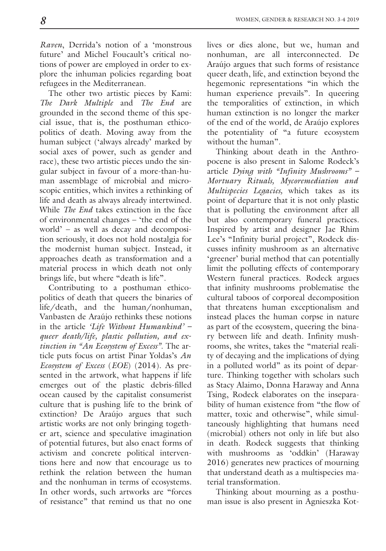*Raven*, Derrida's notion of a 'monstrous future' and Michel Foucault's critical notions of power are employed in order to explore the inhuman policies regarding boat refugees in the Mediterranean.

The other two artistic pieces by Kami: *The Dark Multiple* and *The End* are grounded in the second theme of this special issue, that is, the posthuman ethicopolitics of death. Moving away from the human subject ('always already' marked by social axes of power, such as gender and race), these two artistic pieces undo the singular subject in favour of a more-than-human assemblage of microbial and microscopic entities, which invites a rethinking of life and death as always already intertwined. While *The End* takes extinction in the face of environmental changes – 'the end of the world' – as well as decay and decomposition seriously, it does not hold nostalgia for the modernist human subject. Instead, it approaches death as transformation and a material process in which death not only brings life, but where "death is life".

Contributing to a posthuman ethicopolitics of death that queers the binaries of life/death, and the human/nonhuman, Vanbasten de Araújo rethinks these notions in the article *'Life Without Humankind' – queer death/life, plastic pollution, and extinction in "An Ecosystem of Excess"*. The article puts focus on artist Pinar Yoldas's *An Ecosystem of Excess* (*EOE*) (2014). As presented in the artwork, what happens if life emerges out of the plastic debris-filled ocean caused by the capitalist consumerist culture that is pushing life to the brink of extinction? De Araújo argues that such artistic works are not only bringing together art, science and speculative imagination of potential futures, but also enact forms of activism and concrete political interventions here and now that encourage us to rethink the relation between the human and the nonhuman in terms of ecosystems. In other words, such artworks are "forces of resistance" that remind us that no one

lives or dies alone, but we, human and nonhuman, are all interconnected. De Araújo argues that such forms of resistance queer death, life, and extinction beyond the hegemonic representations "in which the human experience prevails". In queering the temporalities of extinction, in which human extinction is no longer the marker of the end of the world, de Araújo explores the potentiality of "a future ecosystem without the human".

Thinking about death in the Anthropocene is also present in Salome Rodeck's article *Dying with "Infinity Mushrooms" – Mortuary Rituals, Mycoremediation and Multispecies Legacies,* which takes as its point of departure that it is not only plastic that is polluting the environment after all but also contemporary funeral practices. Inspired by artist and designer Jae Rhim Lee's "Infinity burial project", Rodeck discusses infinity mushroom as an alternative 'greener' burial method that can potentially limit the polluting effects of contemporary Western funeral practices. Rodeck argues that infinity mushrooms problematise the cultural taboos of corporeal decomposition that threatens human exceptionalism and instead places the human corpse in nature as part of the ecosystem, queering the binary between life and death. Infinity mushrooms, she writes, takes the "material reality of decaying and the implications of dying in a polluted world" as its point of departure. Thinking together with scholars such as Stacy Alaimo, Donna Haraway and Anna Tsing, Rodeck elaborates on the inseparability of human existence from "the flow of matter, toxic and otherwise", while simultaneously highlighting that humans need (microbial) others not only in life but also in death. Rodeck suggests that thinking with mushrooms as 'oddkin' (Haraway 2016) generates new practices of mourning that understand death as a multispecies material transformation.

Thinking about mourning as a posthuman issue is also present in Agnieszka Kot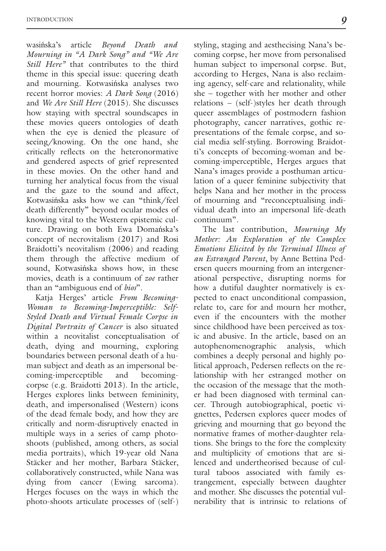wasińska's article *Beyond Death and Mourning in "A Dark Song" and "We Are Still Here"* that contributes to the third theme in this special issue: queering death and mourning. Kotwasińska analyses two recent horror movies: *A Dark Song* (2016) and *We Are Still Here* (2015). She discusses how staying with spectral soundscapes in these movies queers ontologies of death when the eye is denied the pleasure of seeing/knowing. On the one hand, she critically reflects on the heteronormative and gendered aspects of grief represented in these movies. On the other hand and turning her analytical focus from the visual and the gaze to the sound and affect, Kotwasińska asks how we can "think/feel death differently" beyond ocular modes of knowing vital to the Western epistemic culture. Drawing on both Ewa Domańska's concept of necrovitalism (2017) and Rosi Braidotti's neovitalism (2006) and reading them through the affective medium of sound, Kotwasińska shows how, in these movies, death is a continuum of *zoe* rather than an "ambiguous end of *bios*".

Katja Herges' article *From Becoming-Woman to Becoming-Imperceptible: Self-Styled Death and Virtual Female Corpse in Digital Portraits of Cancer* is also situated within a neovitalist conceptualisation of death, dying and mourning, exploring boundaries between personal death of a human subject and death as an impersonal becoming-imperceptible and becomingcorpse (e.g. Braidotti 2013). In the article, Herges explores links between femininity, death, and impersonalised (Western) icons of the dead female body, and how they are critically and norm-disruptively enacted in multiple ways in a series of camp photoshoots (published, among others, as social media portraits), which 19-year old Nana Stäcker and her mother, Barbara Stäcker, collaboratively constructed, while Nana was dying from cancer (Ewing sarcoma). Herges focuses on the ways in which the photo-shoots articulate processes of (self-)

styling, staging and aesthecising Nana's becoming corpse, her move from personalised human subject to impersonal corpse. But, according to Herges, Nana is also reclaiming agency, self-care and relationality, while she – together with her mother and other relations – (self-)styles her death through queer assemblages of postmodern fashion photography, cancer narratives, gothic representations of the female corpse, and social media self-styling. Borrowing Braidotti's concepts of becoming-woman and becoming-imperceptible, Herges argues that Nana's images provide a posthuman articulation of a queer feminine subjectivity that helps Nana and her mother in the process of mourning and "reconceptualising individual death into an impersonal life-death continuum".

The last contribution, *Mourning My Mother: An Exploration of the Complex Emotions Elicited by the Terminal Illness of an Estranged Parent*, by Anne Bettina Pedersen queers mourning from an intergenerational perspective, disrupting norms for how a dutiful daughter normatively is expected to enact unconditional compassion, relate to, care for and mourn her mother, even if the encounters with the mother since childhood have been perceived as toxic and abusive. In the article, based on an autophenomenographic analysis, which combines a deeply personal and highly political approach, Pedersen reflects on the relationship with her estranged mother on the occasion of the message that the mother had been diagnosed with terminal cancer. Through autobiographical, poetic vignettes, Pedersen explores queer modes of grieving and mourning that go beyond the normative frames of mother-daughter relations. She brings to the fore the complexity and multiplicity of emotions that are silenced and undertheorised because of cultural taboos associated with family estrangement, especially between daughter and mother. She discusses the potential vulnerability that is intrinsic to relations of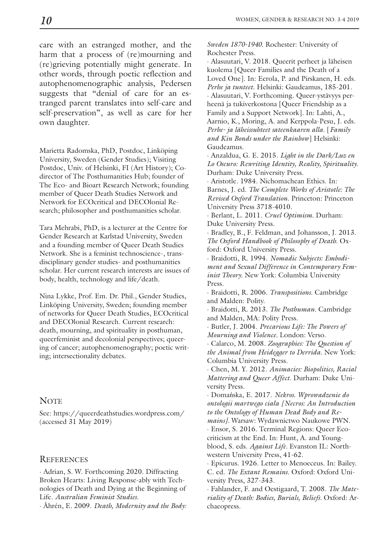care with an estranged mother, and the harm that a process of (re)mourning and (re)grieving potentially might generate. In other words, through poetic reflection and autophenomenographic analysis, Pedersen suggests that "denial of care for an estranged parent translates into self-care and self-preservation", as well as care for her own daughter.

Marietta Radomska, PhD, Postdoc, Linköping University, Sweden (Gender Studies); Visiting Postdoc, Univ. of Helsinki, FI (Art History); Codirector of The Posthumanities Hub; founder of The Eco- and Bioart Research Network; founding member of Queer Death Studies Network and Network for ECOcritical and DECOlonial Research; philosopher and posthumanities scholar.

Tara Mehrabi, PhD, is a lecturer at the Centre for Gender Research at Karlstad University, Sweden and a founding member of Queer Death Studies Network. She is a feminist technoscience-, transdisciplinary gender studies- and posthumanities scholar. Her current research interests are issues of body, health, technology and life/death.

Nina Lykke, Prof. Em. Dr. Phil., Gender Studies, Linköping University, Sweden; founding member of networks for Queer Death Studies, ECOcritical and DECOlonial Research. Current research: death, mourning, and spirituality in posthuman, queerfeminist and decolonial perspectives; queering of cancer; autophenomenography; poetic writing; intersectionality debates.

### **NOTE**

See: https://queerdeathstudies.wordpress.com/ (accessed 31 May 2019)

#### **REFERENCES**

· Adrian, S. W. Forthcoming 2020. Diffracting Broken Hearts: Living Response-ably with Technologies of Death and Dying at the Beginning of Life. *Australian Feminist Studies.*

· Åhrén, E. 2009. *Death, Modernity and the Body:*

*Sweden 1870-1940.* Rochester: University of Rochester Press.

· Alasuutari, V. 2018. Queerit perheet ja läheisen kuolema [Queer Families and the Death of a Loved One]. In: Eerola, P. and Pirskanen, H. eds. *Perhe ja tunteet*. Helsinki: Gaudeamus, 185-201. · Alasuutari, V. Forthcoming. Queer-ystävyys perheenä ja tukiverkostona [Queer Friendship as a Family and a Support Network]. In: Lahti, A., Aarnio, K., Moring, A. and Kerppola-Pesu, J. eds. *Perhe- ja läheissuhteet sateenkaaren alla*. [*Family and Kin Bonds under the Rainbow*] Helsinki: Gaudeamus.

· Anzaldua, G. E. 2015. *Light in the Dark/Luz en Lo Oscuro: Rewriting Identity, Reality, Spirituality.* Durham: Duke University Press.

· Aristotle. 1984. Nichomachean Ethics. In: Barnes, J. ed. *The Complete Works of Aristotle: The Revised Oxford Translation*. Princeton: Princeton University Press 3718-4010.

· Berlant, L. 2011. *Cruel Optimism.* Durham: Duke University Press.

· Bradley, B., F. Feldman, and Johansson, J. 2013. *The Oxford Handbook of Philosophy of Death.* Oxford: Oxford University Press.

· Braidotti, R. 1994. *Nomadic Subjects: Embodiment and Sexual Difference in Contemporary Feminist Theory.* New York: Columbia University Press.

· Braidotti, R. 2006. *Transpositions.* Cambridge and Malden: Polity.

· Braidotti, R. 2013. *The Posthuman.* Cambridge and Malden, MA: Polity Press.

· Butler, J. 2004. *Precarious Life: The Powers of Mourning and Violence.* London: Verso.

· Calarco, M. 2008. *Zoographies: The Question of the Animal from Heidegger to Derrida.* New York: Columbia University Press.

· Chen, M. Y. 2012. *Animacies: Biopolitics, Racial Mattering and Queer Affect.* Durham: Duke University Press.

· Domańska, E. 2017. *Nekros. Wprowadzenie do ontologii martwego ciała [Necros: An Introduction to the Ontology of Human Dead Body and Remains].* Warsaw: Wydawnictwo Naukowe PWN. · Ensor, S. 2016. Terminal Regions: Queer Ecocriticism at the End. In: Hunt, A. and Youngblood, S. eds. *Against Life.* Evanston IL: Northwestern University Press, 41-62.

· Epicurus. 1926. Letter to Menoeceus. In: Bailey. C. ed. *The Extant Remains*. Oxford: Oxford University Press, 327-343.

· Fahlander, F. and Oestigaard, T. 2008. *The Materiality of Death: Bodies, Burials, Beliefs.* Oxford: Archaeopress.